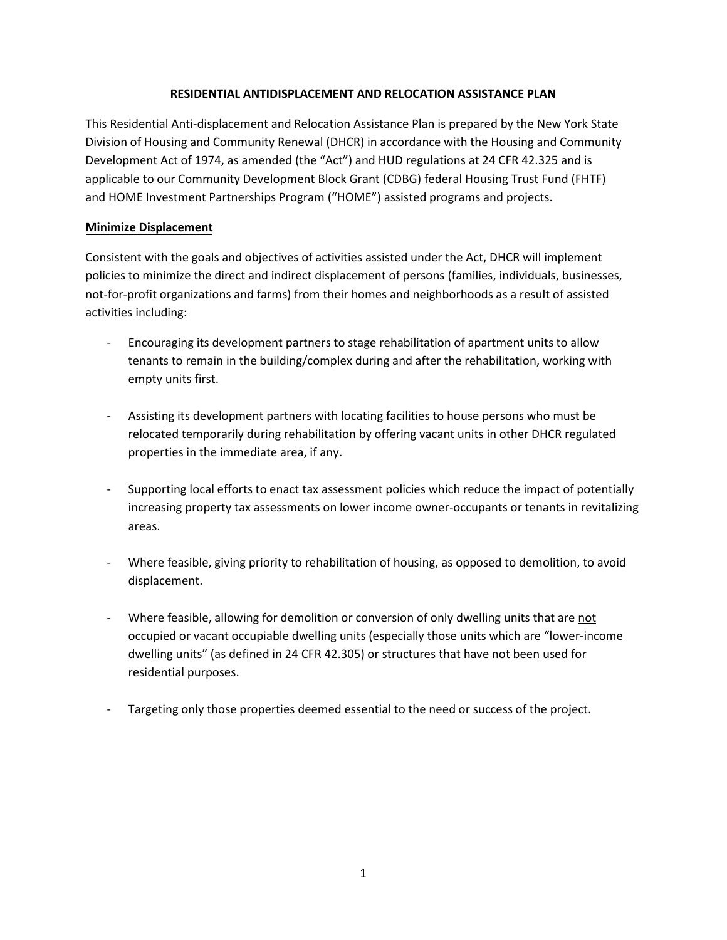## **RESIDENTIAL ANTIDISPLACEMENT AND RELOCATION ASSISTANCE PLAN**

This Residential Anti-displacement and Relocation Assistance Plan is prepared by the New York State Division of Housing and Community Renewal (DHCR) in accordance with the Housing and Community Development Act of 1974, as amended (the "Act") and HUD regulations at 24 CFR 42.325 and is applicable to our Community Development Block Grant (CDBG) federal Housing Trust Fund (FHTF) and HOME Investment Partnerships Program ("HOME") assisted programs and projects.

## **Minimize Displacement**

Consistent with the goals and objectives of activities assisted under the Act, DHCR will implement policies to minimize the direct and indirect displacement of persons (families, individuals, businesses, not-for-profit organizations and farms) from their homes and neighborhoods as a result of assisted activities including:

- Encouraging its development partners to stage rehabilitation of apartment units to allow tenants to remain in the building/complex during and after the rehabilitation, working with empty units first.
- Assisting its development partners with locating facilities to house persons who must be relocated temporarily during rehabilitation by offering vacant units in other DHCR regulated properties in the immediate area, if any.
- Supporting local efforts to enact tax assessment policies which reduce the impact of potentially increasing property tax assessments on lower income owner-occupants or tenants in revitalizing areas.
- Where feasible, giving priority to rehabilitation of housing, as opposed to demolition, to avoid displacement.
- Where feasible, allowing for demolition or conversion of only dwelling units that are not occupied or vacant occupiable dwelling units (especially those units which are "lower-income dwelling units" (as defined in 24 CFR 42.305) or structures that have not been used for residential purposes.
- Targeting only those properties deemed essential to the need or success of the project.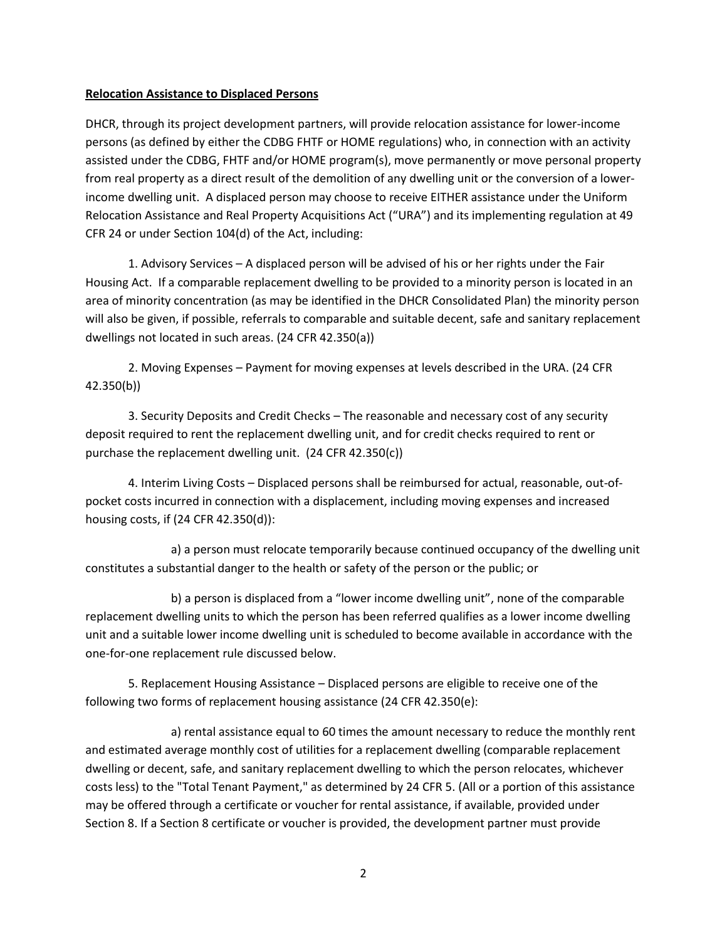#### **Relocation Assistance to Displaced Persons**

DHCR, through its project development partners, will provide relocation assistance for lower-income persons (as defined by either the CDBG FHTF or HOME regulations) who, in connection with an activity assisted under the CDBG, FHTF and/or HOME program(s), move permanently or move personal property from real property as a direct result of the demolition of any dwelling unit or the conversion of a lowerincome dwelling unit. A displaced person may choose to receive EITHER assistance under the Uniform Relocation Assistance and Real Property Acquisitions Act ("URA") and its implementing regulation at 49 CFR 24 or under Section 104(d) of the Act, including:

1. Advisory Services – A displaced person will be advised of his or her rights under the Fair Housing Act. If a comparable replacement dwelling to be provided to a minority person is located in an area of minority concentration (as may be identified in the DHCR Consolidated Plan) the minority person will also be given, if possible, referrals to comparable and suitable decent, safe and sanitary replacement dwellings not located in such areas. (24 CFR 42.350(a))

2. Moving Expenses – Payment for moving expenses at levels described in the URA. (24 CFR 42.350(b))

3. Security Deposits and Credit Checks – The reasonable and necessary cost of any security deposit required to rent the replacement dwelling unit, and for credit checks required to rent or purchase the replacement dwelling unit. (24 CFR 42.350(c))

4. Interim Living Costs – Displaced persons shall be reimbursed for actual, reasonable, out-ofpocket costs incurred in connection with a displacement, including moving expenses and increased housing costs, if (24 CFR 42.350(d)):

a) a person must relocate temporarily because continued occupancy of the dwelling unit constitutes a substantial danger to the health or safety of the person or the public; or

b) a person is displaced from a "lower income dwelling unit", none of the comparable replacement dwelling units to which the person has been referred qualifies as a lower income dwelling unit and a suitable lower income dwelling unit is scheduled to become available in accordance with the one-for-one replacement rule discussed below.

5. Replacement Housing Assistance – Displaced persons are eligible to receive one of the following two forms of replacement housing assistance (24 CFR 42.350(e):

a) rental assistance equal to 60 times the amount necessary to reduce the monthly rent and estimated average monthly cost of utilities for a replacement dwelling (comparable replacement dwelling or decent, safe, and sanitary replacement dwelling to which the person relocates, whichever costs less) to the "Total Tenant Payment," as determined by 24 CFR 5. (All or a portion of this assistance may be offered through a certificate or voucher for rental assistance, if available, provided under Section 8. If a Section 8 certificate or voucher is provided, the development partner must provide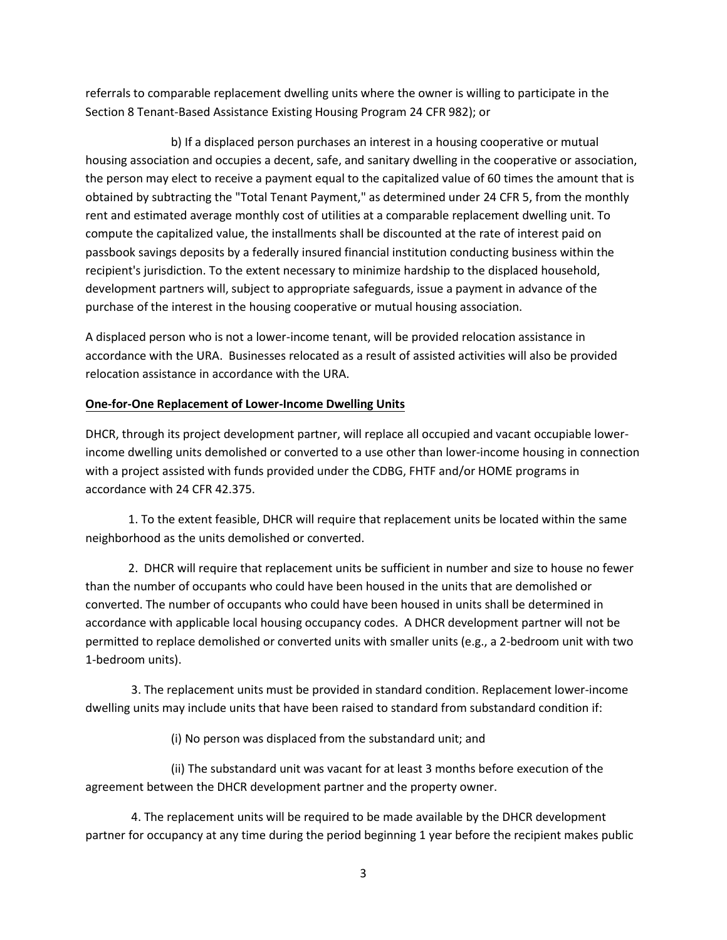referrals to comparable replacement dwelling units where the owner is willing to participate in the Section 8 Tenant-Based Assistance Existing Housing Program 24 CFR 982); or

b) If a displaced person purchases an interest in a housing cooperative or mutual housing association and occupies a decent, safe, and sanitary dwelling in the cooperative or association, the person may elect to receive a payment equal to the capitalized value of 60 times the amount that is obtained by subtracting the "Total Tenant Payment," as determined under 24 CFR 5, from the monthly rent and estimated average monthly cost of utilities at a comparable replacement dwelling unit. To compute the capitalized value, the installments shall be discounted at the rate of interest paid on passbook savings deposits by a federally insured financial institution conducting business within the recipient's jurisdiction. To the extent necessary to minimize hardship to the displaced household, development partners will, subject to appropriate safeguards, issue a payment in advance of the purchase of the interest in the housing cooperative or mutual housing association.

A displaced person who is not a lower-income tenant, will be provided relocation assistance in accordance with the URA. Businesses relocated as a result of assisted activities will also be provided relocation assistance in accordance with the URA.

## **One-for-One Replacement of Lower-Income Dwelling Units**

DHCR, through its project development partner, will replace all occupied and vacant occupiable lowerincome dwelling units demolished or converted to a use other than lower-income housing in connection with a project assisted with funds provided under the CDBG, FHTF and/or HOME programs in accordance with 24 CFR 42.375.

1. To the extent feasible, DHCR will require that replacement units be located within the same neighborhood as the units demolished or converted.

2. DHCR will require that replacement units be sufficient in number and size to house no fewer than the number of occupants who could have been housed in the units that are demolished or converted. The number of occupants who could have been housed in units shall be determined in accordance with applicable local housing occupancy codes. A DHCR development partner will not be permitted to replace demolished or converted units with smaller units (e.g., a 2-bedroom unit with two 1-bedroom units).

3. The replacement units must be provided in standard condition. Replacement lower-income dwelling units may include units that have been raised to standard from substandard condition if:

(i) No person was displaced from the substandard unit; and

(ii) The substandard unit was vacant for at least 3 months before execution of the agreement between the DHCR development partner and the property owner.

4. The replacement units will be required to be made available by the DHCR development partner for occupancy at any time during the period beginning 1 year before the recipient makes public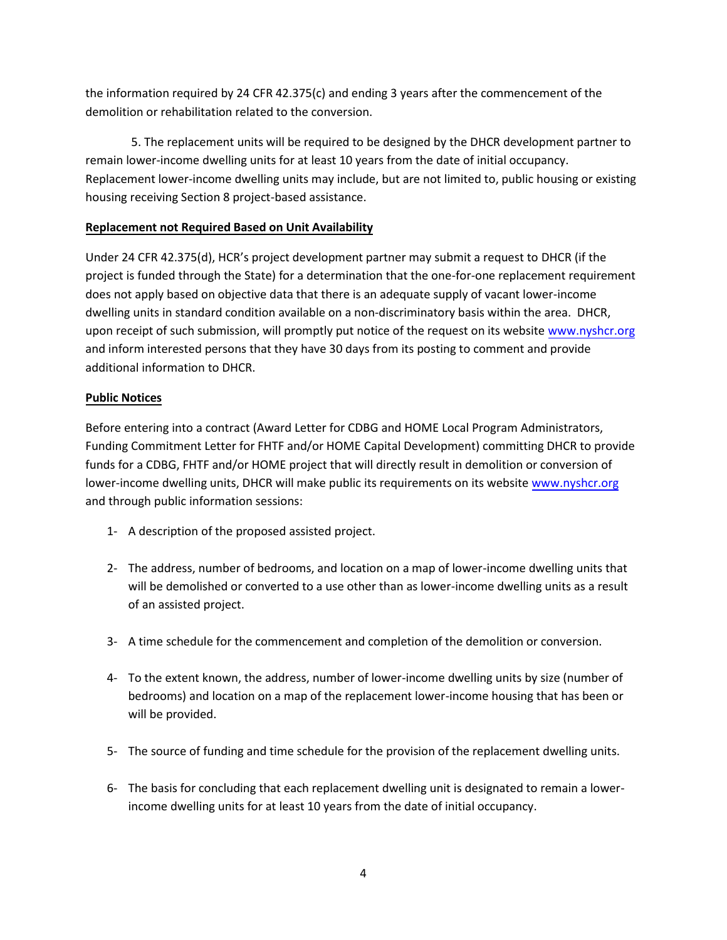the information required by 24 CFR 42.375(c) and ending 3 years after the commencement of the demolition or rehabilitation related to the conversion.

5. The replacement units will be required to be designed by the DHCR development partner to remain lower-income dwelling units for at least 10 years from the date of initial occupancy. Replacement lower-income dwelling units may include, but are not limited to, public housing or existing housing receiving Section 8 project-based assistance.

## **Replacement not Required Based on Unit Availability**

Under 24 CFR 42.375(d), HCR's project development partner may submit a request to DHCR (if the project is funded through the State) for a determination that the one-for-one replacement requirement does not apply based on objective data that there is an adequate supply of vacant lower-income dwelling units in standard condition available on a non-discriminatory basis within the area. DHCR, upon receipt of such submission, will promptly put notice of the request on its websit[e www.nyshcr.org](http://www.nyshcr.org/) and inform interested persons that they have 30 days from its posting to comment and provide additional information to DHCR.

# **Public Notices**

Before entering into a contract (Award Letter for CDBG and HOME Local Program Administrators, Funding Commitment Letter for FHTF and/or HOME Capital Development) committing DHCR to provide funds for a CDBG, FHTF and/or HOME project that will directly result in demolition or conversion of lower-income dwelling units, DHCR will make public its requirements on its website [www.nyshcr.org](http://www.nyshcr.org/) and through public information sessions:

- 1- A description of the proposed assisted project.
- 2- The address, number of bedrooms, and location on a map of lower-income dwelling units that will be demolished or converted to a use other than as lower-income dwelling units as a result of an assisted project.
- 3- A time schedule for the commencement and completion of the demolition or conversion.
- 4- To the extent known, the address, number of lower-income dwelling units by size (number of bedrooms) and location on a map of the replacement lower-income housing that has been or will be provided.
- 5- The source of funding and time schedule for the provision of the replacement dwelling units.
- 6- The basis for concluding that each replacement dwelling unit is designated to remain a lowerincome dwelling units for at least 10 years from the date of initial occupancy.